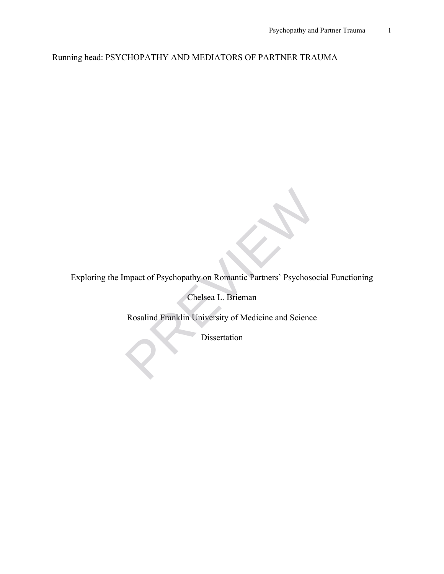Running head: PSYCHOPATHY AND MEDIATORS OF PARTNER TRAUMA

Exploring the Impact of Psychopathy on Romantic Partners' Psychosocial Functioning

Chelsea L. Brieman

Rosalind Franklin University of Medicine and Science mpact of Psychopathy on Romantic Partners' Psychoson<br>Chelsea L. Brieman<br>Rosalind Franklin University of Medicine and Science<br>Dissertation

Dissertation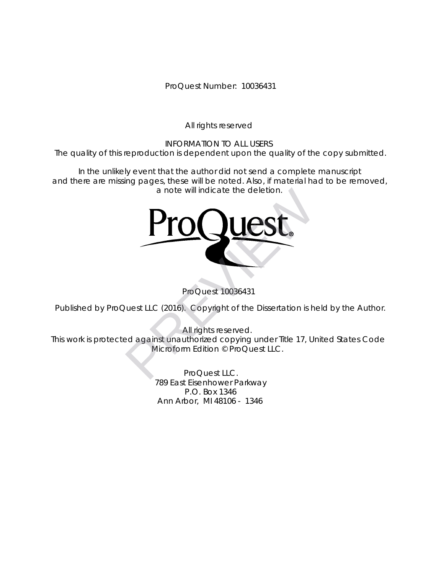ProQuest Number: 10036431

All rights reserved

INFORMATION TO ALL USERS The quality of this reproduction is dependent upon the quality of the copy submitted.

In the unlikely event that the author did not send a complete manuscript and there are missing pages, these will be noted. Also, if material had to be removed, a note will indicate the deletion.



ProQuest 10036431

Published by ProQuest LLC (2016). Copyright of the Dissertation is held by the Author.

All rights reserved. This work is protected against unauthorized copying under Title 17, United States Code Microform Edition © ProQuest LLC.

> ProQuest LLC. 789 East Eisenhower Parkway P.O. Box 1346 Ann Arbor, MI 48106 - 1346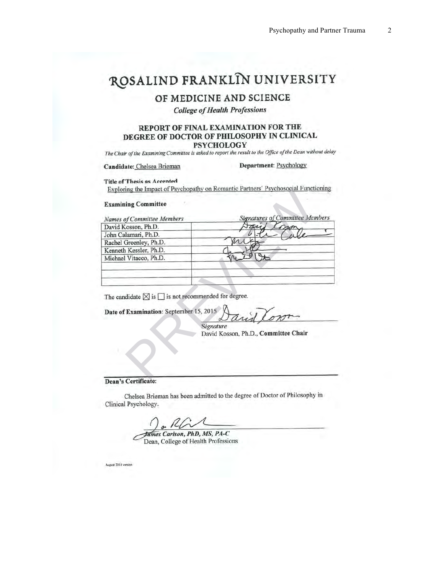## ROSALIND FRANKLIN UNIVERSITY

### OF MEDICINE AND SCIENCE

**College of Health Professions** 

#### REPORT OF FINAL EXAMINATION FOR THE DEGREE OF DOCTOR OF PHILOSOPHY IN CLINICAL **PSYCHOLOGY**

The Chair of the Examining Committee is asked to report the result to the Office of the Dean without delay

Candidate: Chelsea Brieman

#### **Department: Psychology**

**Title of Thesis as Accented** 

| Names of Committee Members                                                                                    | <b>Signatures of Committee Members</b> |
|---------------------------------------------------------------------------------------------------------------|----------------------------------------|
| David Kosson, Ph.D.                                                                                           |                                        |
| John Calamari, Ph.D.                                                                                          |                                        |
| Rachel Greenley, Ph.D.                                                                                        |                                        |
| Kenneth Kessler, Ph.D.                                                                                        |                                        |
| Michael Vitacco, Ph.D.                                                                                        |                                        |
|                                                                                                               |                                        |
|                                                                                                               |                                        |
| The candidate $\boxtimes$ is $\Box$ is not recommended for degree.<br>Date of Examination: September 15, 2015 | David Lon<br>Signature                 |
|                                                                                                               | David Kosson, Ph.D., Committee Chair   |
|                                                                                                               |                                        |

| represented to port |
|---------------------|
| <i>Signature</i>    |

Chelsea Brieman has been admitted to the degree of Doctor of Philosophy in Clinical Psychology.

nes Carlson, PhD, MS, PA-C Dean, College of Health Professions

August 2014 version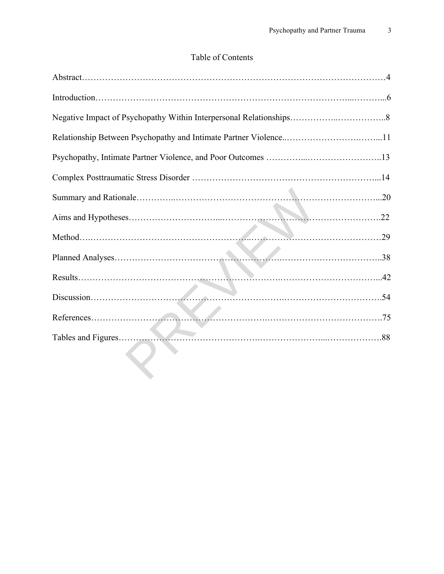### Table of Contents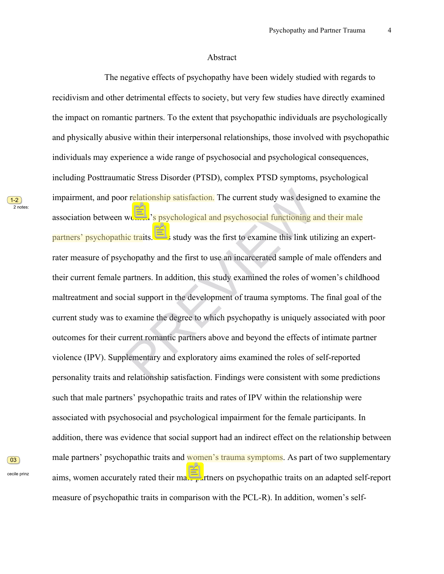#### Abstract

 The negative effects of psychopathy have been widely studied with regards to recidivism and other detrimental effects to society, but very few studies have directly examined the impact on romantic partners. To the extent that psychopathic individuals are psychologically and physically abusive within their interpersonal relationships, those involved with psychopathic individuals may experience a wide range of psychosocial and psychological consequences, including Posttraumatic Stress Disorder (PTSD), complex PTSD symptoms, psychological impairment, and poor relationship satisfaction. The current study was designed to examine the association between women's psychological and psychosocial functioning and their male partners' psychopathic traits. This study was the first to examine this link utilizing an expertrater measure of psychopathy and the first to use an incarcerated sample of male offenders and their current female partners. In addition, this study examined the roles of women's childhood maltreatment and social support in the development of trauma symptoms. The final goal of the current study was to examine the degree to which psychopathy is uniquely associated with poor outcomes for their current romantic partners above and beyond the effects of intimate partner violence (IPV). Supplementary and exploratory aims examined the roles of self-reported personality traits and relationship satisfaction. Findings were consistent with some predictions such that male partners' psychopathic traits and rates of IPV within the relationship were associated with psychosocial and psychological impairment for the female participants. In addition, there was evidence that social support had an indirect effect on the relationship between male partners' psychopathic traits and women's trauma symptoms. As part of two supplementary aims, women accurately rated their male partners on psychopathic traits on an adapted self-report measure of psychopathic traits in comparison with the PCL-R). In addition, women's selfr relationship satisfaction. The current study was designed t<br>women's **psychological and psychosocial functioning and th**<br>increased in the first to use an incarcerated sample of male<br>partners. In addition, this study exami

 $\boxed{03}$ 

cecile prinz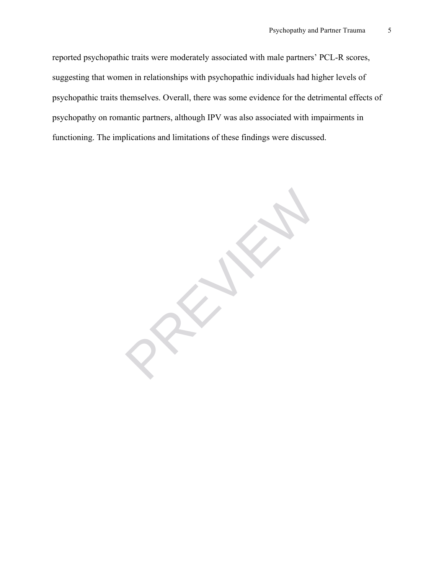reported psychopathic traits were moderately associated with male partners' PCL-R scores, suggesting that women in relationships with psychopathic individuals had higher levels of psychopathic traits themselves. Overall, there was some evidence for the detrimental effects of psychopathy on romantic partners, although IPV was also associated with impairments in functioning. The implications and limitations of these findings were discussed.

PREVIEWS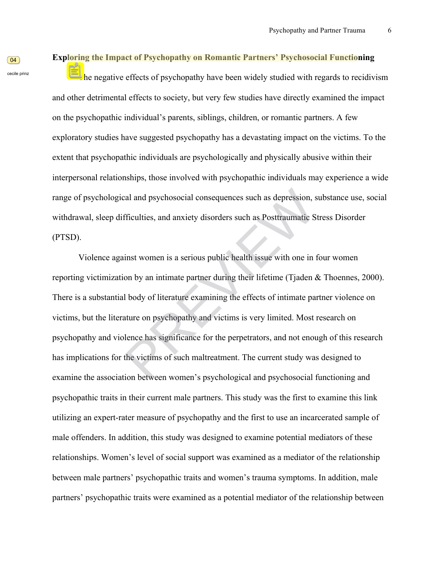#### **Exploring the Impact of Psychopathy on Romantic Partners' Psychosocial Functioning**

 The negative effects of psychopathy have been widely studied with regards to recidivism and other detrimental effects to society, but very few studies have directly examined the impact on the psychopathic individual's parents, siblings, children, or romantic partners. A few exploratory studies have suggested psychopathy has a devastating impact on the victims. To the extent that psychopathic individuals are psychologically and physically abusive within their interpersonal relationships, those involved with psychopathic individuals may experience a wide range of psychological and psychosocial consequences such as depression, substance use, social withdrawal, sleep difficulties, and anxiety disorders such as Posttraumatic Stress Disorder (PTSD).

Violence against women is a serious public health issue with one in four women reporting victimization by an intimate partner during their lifetime (Tjaden & Thoennes, 2000). There is a substantial body of literature examining the effects of intimate partner violence on victims, but the literature on psychopathy and victims is very limited. Most research on psychopathy and violence has significance for the perpetrators, and not enough of this research has implications for the victims of such maltreatment. The current study was designed to examine the association between women's psychological and psychosocial functioning and psychopathic traits in their current male partners. This study was the first to examine this link utilizing an expert-rater measure of psychopathy and the first to use an incarcerated sample of male offenders. In addition, this study was designed to examine potential mediators of these relationships. Women's level of social support was examined as a mediator of the relationship between male partners' psychopathic traits and women's trauma symptoms. In addition, male partners' psychopathic traits were examined as a potential mediator of the relationship between al and psychosocial consequences such as depression, substantiant<br>Fificulties, and anxiety disorders such as Posttraumatic Stress<br>inst women is a serious public health issue with one in four<br>on by an intimate partner durin

 $\boxed{04}$ cecile prinz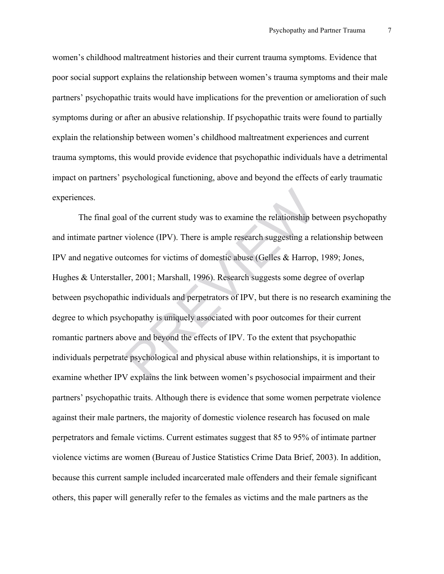women's childhood maltreatment histories and their current trauma symptoms. Evidence that poor social support explains the relationship between women's trauma symptoms and their male partners' psychopathic traits would have implications for the prevention or amelioration of such symptoms during or after an abusive relationship. If psychopathic traits were found to partially explain the relationship between women's childhood maltreatment experiences and current trauma symptoms, this would provide evidence that psychopathic individuals have a detrimental impact on partners' psychological functioning, above and beyond the effects of early traumatic experiences.

The final goal of the current study was to examine the relationship between psychopathy and intimate partner violence (IPV). There is ample research suggesting a relationship between IPV and negative outcomes for victims of domestic abuse (Gelles & Harrop, 1989; Jones, Hughes & Unterstaller, 2001; Marshall, 1996). Research suggests some degree of overlap between psychopathic individuals and perpetrators of IPV, but there is no research examining the degree to which psychopathy is uniquely associated with poor outcomes for their current romantic partners above and beyond the effects of IPV. To the extent that psychopathic individuals perpetrate psychological and physical abuse within relationships, it is important to examine whether IPV explains the link between women's psychosocial impairment and their partners' psychopathic traits. Although there is evidence that some women perpetrate violence against their male partners, the majority of domestic violence research has focused on male perpetrators and female victims. Current estimates suggest that 85 to 95% of intimate partner violence victims are women (Bureau of Justice Statistics Crime Data Brief, 2003). In addition, because this current sample included incarcerated male offenders and their female significant others, this paper will generally refer to the females as victims and the male partners as the I of the current study was to examine the relationship by<br>violence (IPV). There is ample research suggesting a re<br>tcomes for victims of domestic abuse (Gelles & Harrop<br>er, 2001; Marshall, 1996). Research suggests some deg<br>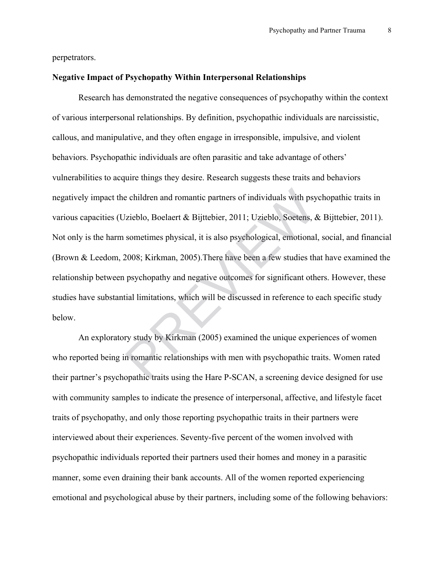perpetrators.

#### **Negative Impact of Psychopathy Within Interpersonal Relationships**

Research has demonstrated the negative consequences of psychopathy within the context of various interpersonal relationships. By definition, psychopathic individuals are narcissistic, callous, and manipulative, and they often engage in irresponsible, impulsive, and violent behaviors. Psychopathic individuals are often parasitic and take advantage of others' vulnerabilities to acquire things they desire. Research suggests these traits and behaviors negatively impact the children and romantic partners of individuals with psychopathic traits in various capacities (Uzieblo, Boelaert & Bijttebier, 2011; Uzieblo, Soetens, & Bijttebier, 2011). Not only is the harm sometimes physical, it is also psychological, emotional, social, and financial (Brown & Leedom, 2008; Kirkman, 2005).There have been a few studies that have examined the relationship between psychopathy and negative outcomes for significant others. However, these studies have substantial limitations, which will be discussed in reference to each specific study below. e children and romantic partners of individuals with psy<br>
Vzieblo, Boelaert & Bijttebier, 2011; Uzieblo, Soetens, &<br>
sometimes physical, it is also psychological, emotional<br>
2008; Kirkman, 2005). There have been a few stud

An exploratory study by Kirkman (2005) examined the unique experiences of women who reported being in romantic relationships with men with psychopathic traits. Women rated their partner's psychopathic traits using the Hare P-SCAN, a screening device designed for use with community samples to indicate the presence of interpersonal, affective, and lifestyle facet traits of psychopathy, and only those reporting psychopathic traits in their partners were interviewed about their experiences. Seventy-five percent of the women involved with psychopathic individuals reported their partners used their homes and money in a parasitic manner, some even draining their bank accounts. All of the women reported experiencing emotional and psychological abuse by their partners, including some of the following behaviors: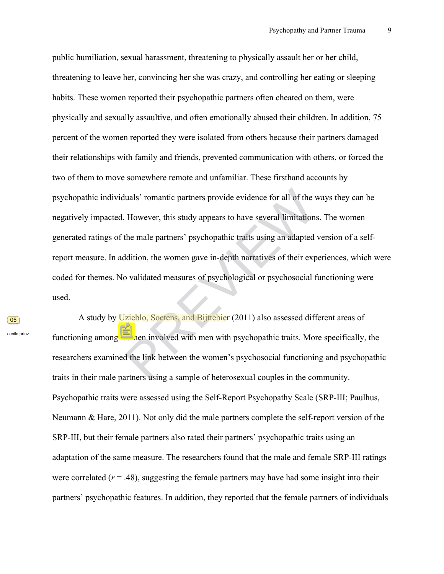public humiliation, sexual harassment, threatening to physically assault her or her child, threatening to leave her, convincing her she was crazy, and controlling her eating or sleeping habits. These women reported their psychopathic partners often cheated on them, were physically and sexually assaultive, and often emotionally abused their children. In addition, 75 percent of the women reported they were isolated from others because their partners damaged their relationships with family and friends, prevented communication with others, or forced the two of them to move somewhere remote and unfamiliar. These firsthand accounts by psychopathic individuals' romantic partners provide evidence for all of the ways they can be negatively impacted. However, this study appears to have several limitations. The women generated ratings of the male partners' psychopathic traits using an adapted version of a selfreport measure. In addition, the women gave in-depth narratives of their experiences, which were coded for themes. No validated measures of psychological or psychosocial functioning were used. halas' romantic partners provide evidence for all of the ways<br>However, this study appears to have several limitations. The<br>the male partners' psychopathic traits using an adapted vers<br>ddition, the women gave in-depth narra

 $\boxed{05}$ 

cecile prinz

A study by Uzieblo, Soetens, and Bijttebier (2011) also assessed different areas of functioning among women involved with men with psychopathic traits. More specifically, the researchers examined the link between the women's psychosocial functioning and psychopathic traits in their male partners using a sample of heterosexual couples in the community. Psychopathic traits were assessed using the Self-Report Psychopathy Scale (SRP-III; Paulhus, Neumann & Hare, 2011). Not only did the male partners complete the self-report version of the SRP-III, but their female partners also rated their partners' psychopathic traits using an adaptation of the same measure. The researchers found that the male and female SRP-III ratings were correlated  $(r = .48)$ , suggesting the female partners may have had some insight into their partners' psychopathic features. In addition, they reported that the female partners of individuals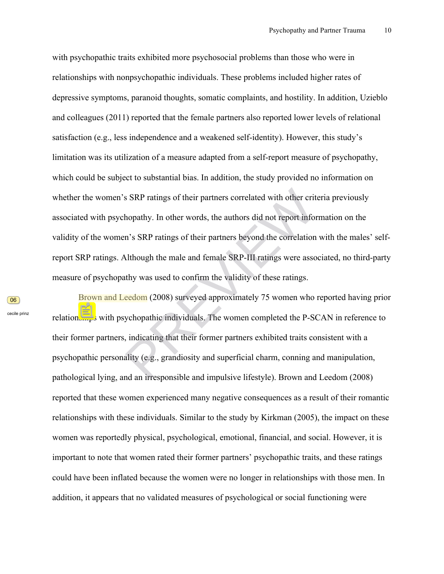with psychopathic traits exhibited more psychosocial problems than those who were in relationships with nonpsychopathic individuals. These problems included higher rates of depressive symptoms, paranoid thoughts, somatic complaints, and hostility. In addition, Uzieblo and colleagues (2011) reported that the female partners also reported lower levels of relational satisfaction (e.g., less independence and a weakened self-identity). However, this study's limitation was its utilization of a measure adapted from a self-report measure of psychopathy, which could be subject to substantial bias. In addition, the study provided no information on whether the women's SRP ratings of their partners correlated with other criteria previously associated with psychopathy. In other words, the authors did not report information on the validity of the women's SRP ratings of their partners beyond the correlation with the males' selfreport SRP ratings. Although the male and female SRP-III ratings were associated, no third-party measure of psychopathy was used to confirm the validity of these ratings. s SRP ratings of their partners correlated with other criteria<br>hopathy. In other words, the authors did not report informat<br>n's SRP ratings of their partners beyond the correlation with<br>Although the male and female SRP-III

Brown and Leedom (2008) surveyed approximately 75 women who reported having prior relationships with psychopathic individuals. The women completed the P-SCAN in reference to their former partners, indicating that their former partners exhibited traits consistent with a psychopathic personality (e.g., grandiosity and superficial charm, conning and manipulation, pathological lying, and an irresponsible and impulsive lifestyle). Brown and Leedom (2008) reported that these women experienced many negative consequences as a result of their romantic relationships with these individuals. Similar to the study by Kirkman (2005), the impact on these women was reportedly physical, psychological, emotional, financial, and social. However, it is important to note that women rated their former partners' psychopathic traits, and these ratings could have been inflated because the women were no longer in relationships with those men. In addition, it appears that no validated measures of psychological or social functioning were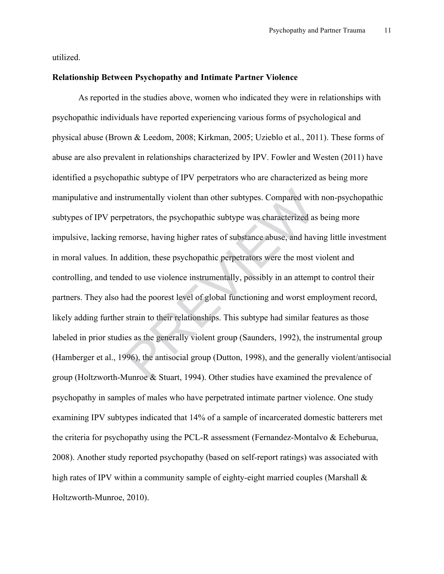utilized.

#### **Relationship Between Psychopathy and Intimate Partner Violence**

As reported in the studies above, women who indicated they were in relationships with psychopathic individuals have reported experiencing various forms of psychological and physical abuse (Brown & Leedom, 2008; Kirkman, 2005; Uzieblo et al., 2011). These forms of abuse are also prevalent in relationships characterized by IPV. Fowler and Westen (2011) have identified a psychopathic subtype of IPV perpetrators who are characterized as being more manipulative and instrumentally violent than other subtypes. Compared with non-psychopathic subtypes of IPV perpetrators, the psychopathic subtype was characterized as being more impulsive, lacking remorse, having higher rates of substance abuse, and having little investment in moral values. In addition, these psychopathic perpetrators were the most violent and controlling, and tended to use violence instrumentally, possibly in an attempt to control their partners. They also had the poorest level of global functioning and worst employment record, likely adding further strain to their relationships. This subtype had similar features as those labeled in prior studies as the generally violent group (Saunders, 1992), the instrumental group (Hamberger et al., 1996), the antisocial group (Dutton, 1998), and the generally violent/antisocial group (Holtzworth-Munroe & Stuart, 1994). Other studies have examined the prevalence of psychopathy in samples of males who have perpetrated intimate partner violence. One study examining IPV subtypes indicated that 14% of a sample of incarcerated domestic batterers met the criteria for psychopathy using the PCL-R assessment (Fernandez-Montalvo & Echeburua, 2008). Another study reported psychopathy (based on self-report ratings) was associated with high rates of IPV within a community sample of eighty-eight married couples (Marshall  $\&$ Holtzworth-Munroe, 2010). trumentally violent than other subtypes. Compared with<br>betrators, the psychopathic subtype was characterized as<br>emorse, having higher rates of substance abuse, and hav<br>ddition, these psychopathic perpetrators were the most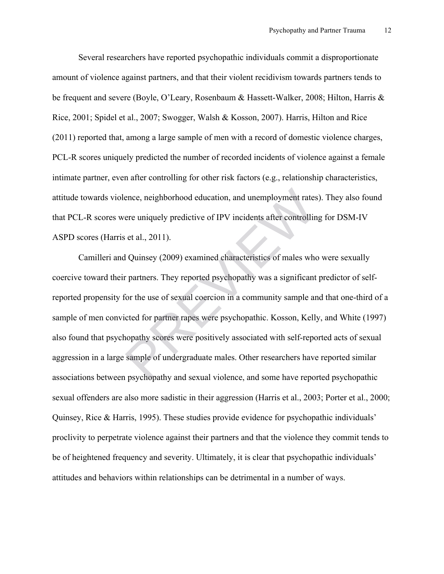Several researchers have reported psychopathic individuals commit a disproportionate amount of violence against partners, and that their violent recidivism towards partners tends to be frequent and severe (Boyle, O'Leary, Rosenbaum & Hassett-Walker, 2008; Hilton, Harris & Rice, 2001; Spidel et al., 2007; Swogger, Walsh & Kosson, 2007). Harris, Hilton and Rice (2011) reported that, among a large sample of men with a record of domestic violence charges, PCL-R scores uniquely predicted the number of recorded incidents of violence against a female intimate partner, even after controlling for other risk factors (e.g., relationship characteristics, attitude towards violence, neighborhood education, and unemployment rates). They also found that PCL-R scores were uniquely predictive of IPV incidents after controlling for DSM-IV ASPD scores (Harris et al., 2011).

Camilleri and Quinsey (2009) examined characteristics of males who were sexually coercive toward their partners. They reported psychopathy was a significant predictor of selfreported propensity for the use of sexual coercion in a community sample and that one-third of a sample of men convicted for partner rapes were psychopathic. Kosson, Kelly, and White (1997) also found that psychopathy scores were positively associated with self-reported acts of sexual aggression in a large sample of undergraduate males. Other researchers have reported similar associations between psychopathy and sexual violence, and some have reported psychopathic sexual offenders are also more sadistic in their aggression (Harris et al., 2003; Porter et al., 2000; Quinsey, Rice & Harris, 1995). These studies provide evidence for psychopathic individuals' proclivity to perpetrate violence against their partners and that the violence they commit tends to be of heightened frequency and severity. Ultimately, it is clear that psychopathic individuals' attitudes and behaviors within relationships can be detrimental in a number of ways. ence, neighborhood education, and unemployment rates<br>ere uniquely predictive of IPV incidents after controllin<br>is et al., 2011).<br>I Quinsey (2009) examined characteristics of males who<br>r partners. They reported psychopathy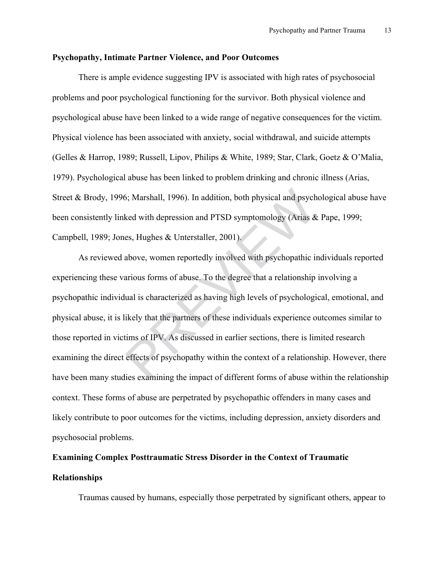#### **Psychopathy, Intimate Partner Violence, and Poor Outcomes**

There is ample evidence suggesting IPV is associated with high rates of psychosocial problems and poor psychological functioning for the survivor. Both physical violence and psychological abuse have been linked to a wide range of negative consequences for the victim. Physical violence has been associated with anxiety, social withdrawal, and suicide attempts (Gelles & Harrop, 1989; Russell, Lipov, Philips & White, 1989; Star, Clark, Goetz & O'Malia, 1979). Psychological abuse has been linked to problem drinking and chronic illness (Arias, Street & Brody, 1996; Marshall, 1996). In addition, both physical and psychological abuse have been consistently linked with depression and PTSD symptomology (Arias & Pape, 1999; Campbell, 1989; Jones, Hughes & Unterstaller, 2001).

As reviewed above, women reportedly involved with psychopathic individuals reported experiencing these various forms of abuse. To the degree that a relationship involving a psychopathic individual is characterized as having high levels of psychological, emotional, and physical abuse, it is likely that the partners of these individuals experience outcomes similar to those reported in victims of IPV. As discussed in earlier sections, there is limited research examining the direct effects of psychopathy within the context of a relationship. However, there have been many studies examining the impact of different forms of abuse within the relationship context. These forms of abuse are perpetrated by psychopathic offenders in many cases and likely contribute to poor outcomes for the victims, including depression, anxiety disorders and psychosocial problems. 6; Marshall, 1996). In addition, both physical and psych<br>ked with depression and PTSD symptomology (Arias &<br>es, Hughes & Unterstaller, 2001).<br>above, women reportedly involved with psychopathic in<br>arious forms of abuse. To

## **Examining Complex Posttraumatic Stress Disorder in the Context of Traumatic Relationships**

Traumas caused by humans, especially those perpetrated by significant others, appear to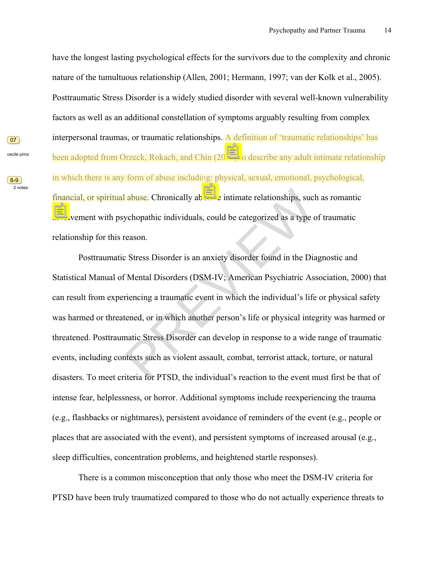have the longest lasting psychological effects for the survivors due to the complexity and chronic nature of the tumultuous relationship (Allen, 2001; Hermann, 1997; van der Kolk et al., 2005). Posttraumatic Stress Disorder is a widely studied disorder with several well-known vulnerability factors as well as an additional constellation of symptoms arguably resulting from complex interpersonal traumas, or traumatic relationships. A definition of 'traumatic relationships' has been adopted from Orzeck, Rokach, and Chin (2010) to describe any adult intimate relationship in which there is any form of abuse including: physical, sexual, emotional, psychological, financial, or spiritual abuse. Chronically abusive intimate relationships, such as romantic involvement with psychopathic individuals, could be categorized as a type of traumatic relationship for this reason.

Posttraumatic Stress Disorder is an anxiety disorder found in the Diagnostic and Statistical Manual of Mental Disorders (DSM-IV; American Psychiatric Association, 2000) that can result from experiencing a traumatic event in which the individual's life or physical safety was harmed or threatened, or in which another person's life or physical integrity was harmed or threatened. Posttraumatic Stress Disorder can develop in response to a wide range of traumatic events, including contexts such as violent assault, combat, terrorist attack, torture, or natural disasters. To meet criteria for PTSD, the individual's reaction to the event must first be that of intense fear, helplessness, or horror. Additional symptoms include reexperiencing the trauma (e.g., flashbacks or nightmares), persistent avoidance of reminders of the event (e.g., people or places that are associated with the event), and persistent symptoms of increased arousal (e.g., sleep difficulties, concentration problems, and heightened startle responses). abuse. Chronically abusive intimate relationships, such as a<br>ychopathic individuals, could be categorized as a type of tra<br>reason.<br>Press Disorder is an anxiety disorder found in the Diagnos<br>Mental Disorders (DSM-IV; Americ

There is a common misconception that only those who meet the DSM-IV criteria for PTSD have been truly traumatized compared to those who do not actually experience threats to

 $\boxed{07}$ cecile prinz

 $(8-9)$ 2 notes: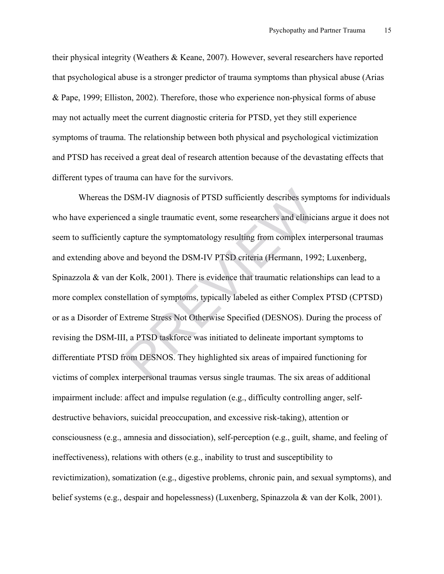their physical integrity (Weathers & Keane, 2007). However, several researchers have reported that psychological abuse is a stronger predictor of trauma symptoms than physical abuse (Arias & Pape, 1999; Elliston, 2002). Therefore, those who experience non-physical forms of abuse may not actually meet the current diagnostic criteria for PTSD, yet they still experience symptoms of trauma. The relationship between both physical and psychological victimization and PTSD has received a great deal of research attention because of the devastating effects that different types of trauma can have for the survivors.

Whereas the DSM-IV diagnosis of PTSD sufficiently describes symptoms for individuals who have experienced a single traumatic event, some researchers and clinicians argue it does not seem to sufficiently capture the symptomatology resulting from complex interpersonal traumas and extending above and beyond the DSM-IV PTSD criteria (Hermann, 1992; Luxenberg, Spinazzola & van der Kolk, 2001). There is evidence that traumatic relationships can lead to a more complex constellation of symptoms, typically labeled as either Complex PTSD (CPTSD) or as a Disorder of Extreme Stress Not Otherwise Specified (DESNOS). During the process of revising the DSM-III, a PTSD taskforce was initiated to delineate important symptoms to differentiate PTSD from DESNOS. They highlighted six areas of impaired functioning for victims of complex interpersonal traumas versus single traumas. The six areas of additional impairment include: affect and impulse regulation (e.g., difficulty controlling anger, selfdestructive behaviors, suicidal preoccupation, and excessive risk-taking), attention or consciousness (e.g., amnesia and dissociation), self-perception (e.g., guilt, shame, and feeling of ineffectiveness), relations with others (e.g., inability to trust and susceptibility to revictimization), somatization (e.g., digestive problems, chronic pain, and sexual symptoms), and belief systems (e.g., despair and hopelessness) (Luxenberg, Spinazzola & van der Kolk, 2001). DSM-IV diagnosis of PTSD sufficiently describes symptom<br>at a single traumatic event, some researchers and clinici<br>capture the symptomatology resulting from complex int<br>and beyond the DSM-IV PTSD criteria (Hermann, 199<br>r Ko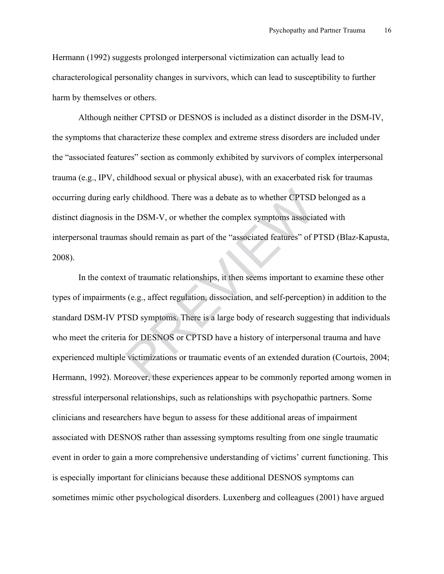Hermann (1992) suggests prolonged interpersonal victimization can actually lead to characterological personality changes in survivors, which can lead to susceptibility to further harm by themselves or others.

Although neither CPTSD or DESNOS is included as a distinct disorder in the DSM-IV, the symptoms that characterize these complex and extreme stress disorders are included under the "associated features" section as commonly exhibited by survivors of complex interpersonal trauma (e.g., IPV, childhood sexual or physical abuse), with an exacerbated risk for traumas occurring during early childhood. There was a debate as to whether CPTSD belonged as a distinct diagnosis in the DSM-V, or whether the complex symptoms associated with interpersonal traumas should remain as part of the "associated features" of PTSD (Blaz-Kapusta, 2008).

In the context of traumatic relationships, it then seems important to examine these other types of impairments (e.g., affect regulation, dissociation, and self-perception) in addition to the standard DSM-IV PTSD symptoms. There is a large body of research suggesting that individuals who meet the criteria for DESNOS or CPTSD have a history of interpersonal trauma and have experienced multiple victimizations or traumatic events of an extended duration (Courtois, 2004; Hermann, 1992). Moreover, these experiences appear to be commonly reported among women in stressful interpersonal relationships, such as relationships with psychopathic partners. Some clinicians and researchers have begun to assess for these additional areas of impairment associated with DESNOS rather than assessing symptoms resulting from one single traumatic event in order to gain a more comprehensive understanding of victims' current functioning. This is especially important for clinicians because these additional DESNOS symptoms can sometimes mimic other psychological disorders. Luxenberg and colleagues (2001) have argued ly childhood. There was a debate as to whether CPTSD<br>the DSM-V, or whether the complex symptoms associa<br>s should remain as part of the "associated features" of P<br>t of traumatic relationships, it then seems important to e<br>s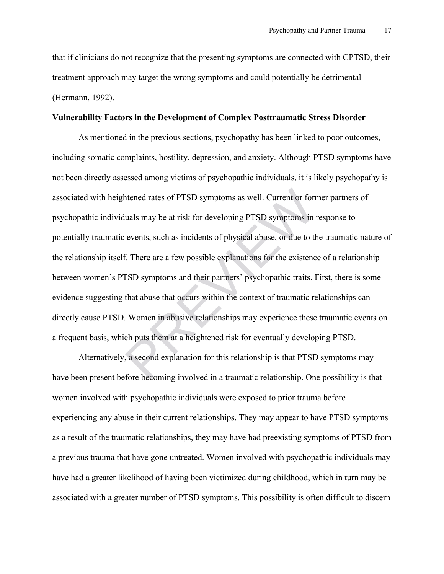that if clinicians do not recognize that the presenting symptoms are connected with CPTSD, their treatment approach may target the wrong symptoms and could potentially be detrimental (Hermann, 1992).

#### **Vulnerability Factors in the Development of Complex Posttraumatic Stress Disorder**

As mentioned in the previous sections, psychopathy has been linked to poor outcomes, including somatic complaints, hostility, depression, and anxiety. Although PTSD symptoms have not been directly assessed among victims of psychopathic individuals, it is likely psychopathy is associated with heightened rates of PTSD symptoms as well. Current or former partners of psychopathic individuals may be at risk for developing PTSD symptoms in response to potentially traumatic events, such as incidents of physical abuse, or due to the traumatic nature of the relationship itself. There are a few possible explanations for the existence of a relationship between women's PTSD symptoms and their partners' psychopathic traits. First, there is some evidence suggesting that abuse that occurs within the context of traumatic relationships can directly cause PTSD. Women in abusive relationships may experience these traumatic events on a frequent basis, which puts them at a heightened risk for eventually developing PTSD. htened rates of PTSD symptoms as well. Current or form<br>luals may be at risk for developing PTSD symptoms in i<br>events, such as incidents of physical abuse, or due to the<br>f. There are a few possible explanations for the exis

Alternatively, a second explanation for this relationship is that PTSD symptoms may have been present before becoming involved in a traumatic relationship. One possibility is that women involved with psychopathic individuals were exposed to prior trauma before experiencing any abuse in their current relationships. They may appear to have PTSD symptoms as a result of the traumatic relationships, they may have had preexisting symptoms of PTSD from a previous trauma that have gone untreated. Women involved with psychopathic individuals may have had a greater likelihood of having been victimized during childhood, which in turn may be associated with a greater number of PTSD symptoms. This possibility is often difficult to discern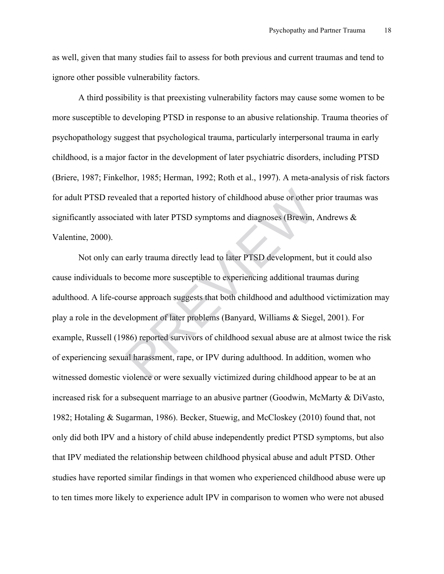as well, given that many studies fail to assess for both previous and current traumas and tend to ignore other possible vulnerability factors.

A third possibility is that preexisting vulnerability factors may cause some women to be more susceptible to developing PTSD in response to an abusive relationship. Trauma theories of psychopathology suggest that psychological trauma, particularly interpersonal trauma in early childhood, is a major factor in the development of later psychiatric disorders, including PTSD (Briere, 1987; Finkelhor, 1985; Herman, 1992; Roth et al., 1997). A meta-analysis of risk factors for adult PTSD revealed that a reported history of childhood abuse or other prior traumas was significantly associated with later PTSD symptoms and diagnoses (Brewin, Andrews & Valentine, 2000).

Not only can early trauma directly lead to later PTSD development, but it could also cause individuals to become more susceptible to experiencing additional traumas during adulthood. A life-course approach suggests that both childhood and adulthood victimization may play a role in the development of later problems (Banyard, Williams & Siegel, 2001). For example, Russell (1986) reported survivors of childhood sexual abuse are at almost twice the risk of experiencing sexual harassment, rape, or IPV during adulthood. In addition, women who witnessed domestic violence or were sexually victimized during childhood appear to be at an increased risk for a subsequent marriage to an abusive partner (Goodwin, McMarty & DiVasto, 1982; Hotaling & Sugarman, 1986). Becker, Stuewig, and McCloskey (2010) found that, not only did both IPV and a history of child abuse independently predict PTSD symptoms, but also that IPV mediated the relationship between childhood physical abuse and adult PTSD. Other studies have reported similar findings in that women who experienced childhood abuse were up to ten times more likely to experience adult IPV in comparison to women who were not abused aled that a reported history of childhood abuse or other j<br>ted with later PTSD symptoms and diagnoses (Brewin,<br>early trauma directly lead to later PTSD development, l<br>become more susceptible to experiencing additional tra<br>